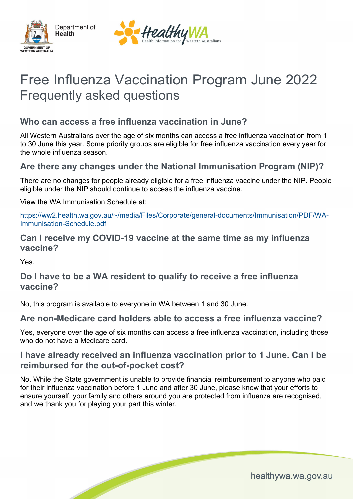



# Free Influenza Vaccination Program June 2022 Frequently asked questions

# **Who can access a free influenza vaccination in June?**

All Western Australians over the age of six months can access a free influenza vaccination from 1 to 30 June this year. Some priority groups are eligible for free influenza vaccination every year for the whole influenza season.

#### **Are there any changes under the National Immunisation Program (NIP)?**

There are no changes for people already eligible for a free influenza vaccine under the NIP. People eligible under the NIP should continue to access the influenza vaccine.

View the WA Immunisation Schedule at:

[https://ww2.health.wa.gov.au/~/media/Files/Corporate/general-documents/Immunisation/PDF/WA-](https://ww2.health.wa.gov.au/%7E/media/Files/Corporate/general-documents/Immunisation/PDF/WA-Immunisation-Schedule.pdf)[Immunisation-Schedule.pdf](https://ww2.health.wa.gov.au/%7E/media/Files/Corporate/general-documents/Immunisation/PDF/WA-Immunisation-Schedule.pdf)

#### **Can I receive my COVID-19 vaccine at the same time as my influenza vaccine?**

Yes.

#### **Do I have to be a WA resident to qualify to receive a free influenza vaccine?**

No, this program is available to everyone in WA between 1 and 30 June.

#### **Are non-Medicare card holders able to access a free influenza vaccine?**

Yes, everyone over the age of six months can access a free influenza vaccination, including those who do not have a Medicare card.

#### **I have already received an influenza vaccination prior to 1 June. Can I be reimbursed for the out-of-pocket cost?**

No. While the State government is unable to provide financial reimbursement to anyone who paid for their influenza vaccination before 1 June and after 30 June, please know that your efforts to ensure yourself, your family and others around you are protected from influenza are recognised, and we thank you for playing your part this winter.

healthywa.wa.gov.au